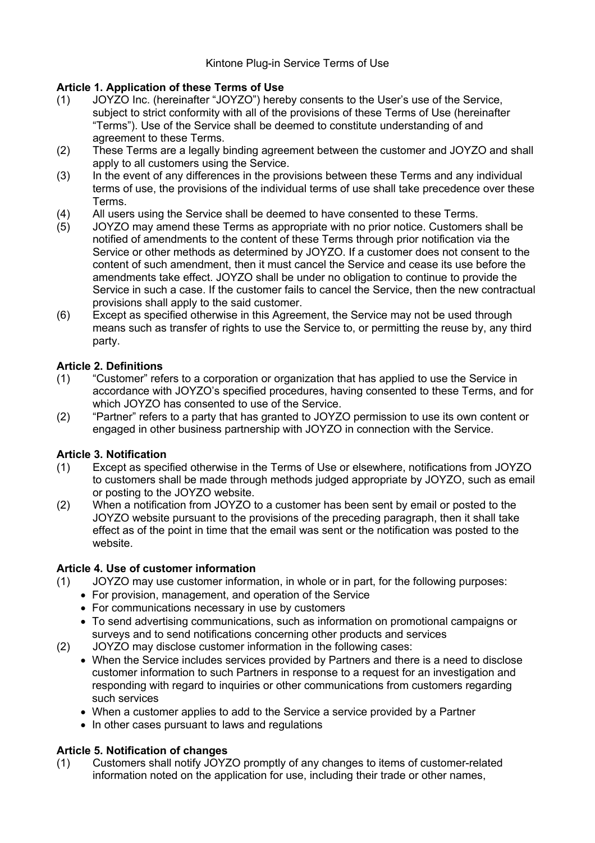### Kintone Plug-in Service Terms of Use

## **Article 1. Application of these Terms of Use**

- (1) JOYZO Inc. (hereinafter "JOYZO") hereby consents to the User's use of the Service, subject to strict conformity with all of the provisions of these Terms of Use (hereinafter "Terms"). Use of the Service shall be deemed to constitute understanding of and agreement to these Terms.
- (2) These Terms are a legally binding agreement between the customer and JOYZO and shall apply to all customers using the Service.
- (3) In the event of any differences in the provisions between these Terms and any individual terms of use, the provisions of the individual terms of use shall take precedence over these Terms.
- (4) All users using the Service shall be deemed to have consented to these Terms.
- (5) JOYZO may amend these Terms as appropriate with no prior notice. Customers shall be notified of amendments to the content of these Terms through prior notification via the Service or other methods as determined by JOYZO. If a customer does not consent to the content of such amendment, then it must cancel the Service and cease its use before the amendments take effect. JOYZO shall be under no obligation to continue to provide the Service in such a case. If the customer fails to cancel the Service, then the new contractual provisions shall apply to the said customer.
- (6) Except as specified otherwise in this Agreement, the Service may not be used through means such as transfer of rights to use the Service to, or permitting the reuse by, any third party.

# **Article 2. Definitions**

- (1) "Customer" refers to a corporation or organization that has applied to use the Service in accordance with JOYZO's specified procedures, having consented to these Terms, and for which JOYZO has consented to use of the Service.
- (2) "Partner" refers to a party that has granted to JOYZO permission to use its own content or engaged in other business partnership with JOYZO in connection with the Service.

## **Article 3. Notification**

- (1) Except as specified otherwise in the Terms of Use or elsewhere, notifications from JOYZO to customers shall be made through methods judged appropriate by JOYZO, such as email or posting to the JOYZO website.
- (2) When a notification from JOYZO to a customer has been sent by email or posted to the JOYZO website pursuant to the provisions of the preceding paragraph, then it shall take effect as of the point in time that the email was sent or the notification was posted to the website.

## **Article 4. Use of customer information**

- (1) JOYZO may use customer information, in whole or in part, for the following purposes:
	- For provision, management, and operation of the Service
	- For communications necessary in use by customers
	- To send advertising communications, such as information on promotional campaigns or surveys and to send notifications concerning other products and services
- (2) JOYZO may disclose customer information in the following cases:
	- When the Service includes services provided by Partners and there is a need to disclose customer information to such Partners in response to a request for an investigation and responding with regard to inquiries or other communications from customers regarding such services
		- When a customer applies to add to the Service a service provided by a Partner
		- In other cases pursuant to laws and regulations

## **Article 5. Notification of changes**

(1) Customers shall notify JOYZO promptly of any changes to items of customer-related information noted on the application for use, including their trade or other names,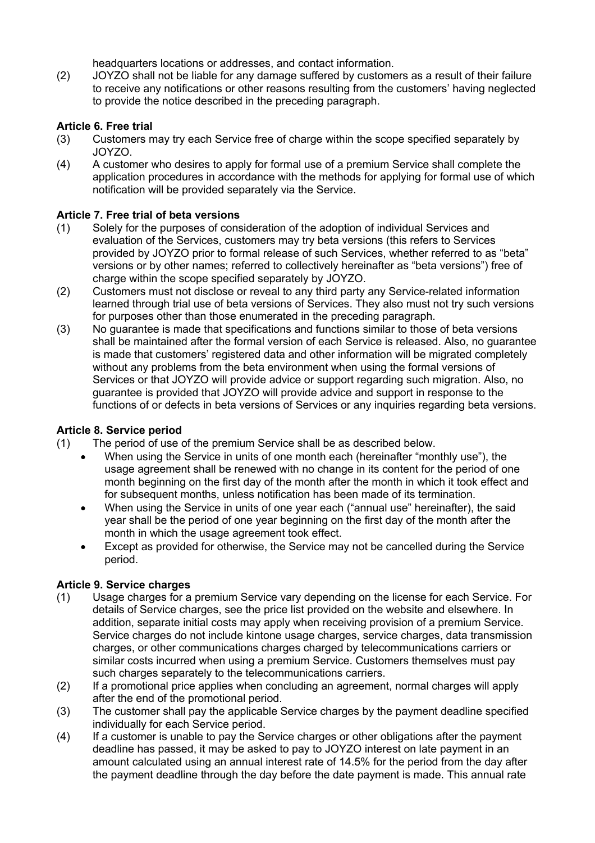headquarters locations or addresses, and contact information.

(2) JOYZO shall not be liable for any damage suffered by customers as a result of their failure to receive any notifications or other reasons resulting from the customers' having neglected to provide the notice described in the preceding paragraph.

## **Article 6. Free trial**

- (3) Customers may try each Service free of charge within the scope specified separately by JOYZO.
- (4) A customer who desires to apply for formal use of a premium Service shall complete the application procedures in accordance with the methods for applying for formal use of which notification will be provided separately via the Service.

### **Article 7. Free trial of beta versions**

- (1) Solely for the purposes of consideration of the adoption of individual Services and evaluation of the Services, customers may try beta versions (this refers to Services provided by JOYZO prior to formal release of such Services, whether referred to as "beta" versions or by other names; referred to collectively hereinafter as "beta versions") free of charge within the scope specified separately by JOYZO.
- (2) Customers must not disclose or reveal to any third party any Service-related information learned through trial use of beta versions of Services. They also must not try such versions for purposes other than those enumerated in the preceding paragraph.
- (3) No guarantee is made that specifications and functions similar to those of beta versions shall be maintained after the formal version of each Service is released. Also, no guarantee is made that customers' registered data and other information will be migrated completely without any problems from the beta environment when using the formal versions of Services or that JOYZO will provide advice or support regarding such migration. Also, no guarantee is provided that JOYZO will provide advice and support in response to the functions of or defects in beta versions of Services or any inquiries regarding beta versions.

### **Article 8. Service period**

- (1) The period of use of the premium Service shall be as described below.
	- When using the Service in units of one month each (hereinafter "monthly use"), the usage agreement shall be renewed with no change in its content for the period of one month beginning on the first day of the month after the month in which it took effect and for subsequent months, unless notification has been made of its termination.
	- When using the Service in units of one year each ("annual use" hereinafter), the said year shall be the period of one year beginning on the first day of the month after the month in which the usage agreement took effect.
	- Except as provided for otherwise, the Service may not be cancelled during the Service period.

### **Article 9. Service charges**

- (1) Usage charges for a premium Service vary depending on the license for each Service. For details of Service charges, see the price list provided on the website and elsewhere. In addition, separate initial costs may apply when receiving provision of a premium Service. Service charges do not include kintone usage charges, service charges, data transmission charges, or other communications charges charged by telecommunications carriers or similar costs incurred when using a premium Service. Customers themselves must pay such charges separately to the telecommunications carriers.
- (2) If a promotional price applies when concluding an agreement, normal charges will apply after the end of the promotional period.
- (3) The customer shall pay the applicable Service charges by the payment deadline specified individually for each Service period.
- (4) If a customer is unable to pay the Service charges or other obligations after the payment deadline has passed, it may be asked to pay to JOYZO interest on late payment in an amount calculated using an annual interest rate of 14.5% for the period from the day after the payment deadline through the day before the date payment is made. This annual rate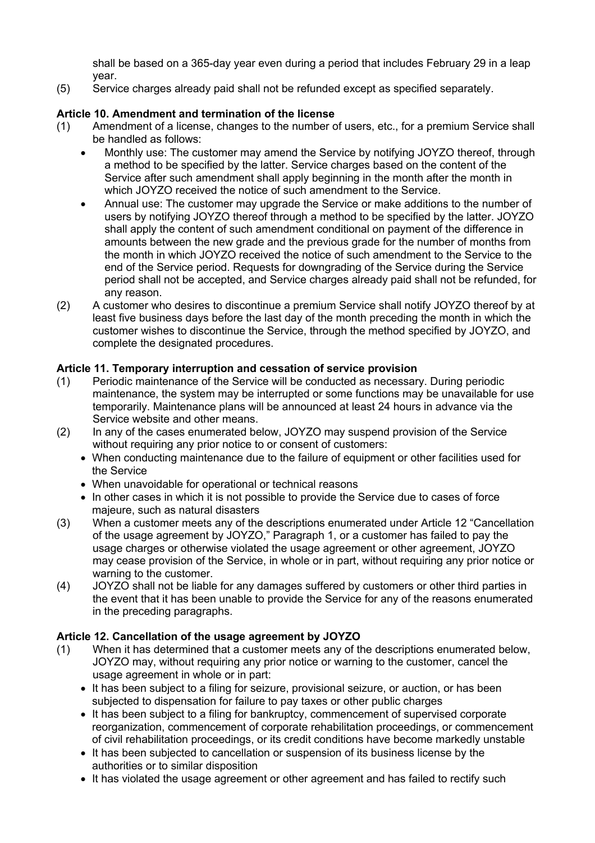shall be based on a 365-day year even during a period that includes February 29 in a leap year.

(5) Service charges already paid shall not be refunded except as specified separately.

### **Article 10. Amendment and termination of the license**

- (1) Amendment of a license, changes to the number of users, etc., for a premium Service shall be handled as follows:
	- Monthly use: The customer may amend the Service by notifying JOYZO thereof, through a method to be specified by the latter. Service charges based on the content of the Service after such amendment shall apply beginning in the month after the month in which JOYZO received the notice of such amendment to the Service.
	- Annual use: The customer may upgrade the Service or make additions to the number of users by notifying JOYZO thereof through a method to be specified by the latter. JOYZO shall apply the content of such amendment conditional on payment of the difference in amounts between the new grade and the previous grade for the number of months from the month in which JOYZO received the notice of such amendment to the Service to the end of the Service period. Requests for downgrading of the Service during the Service period shall not be accepted, and Service charges already paid shall not be refunded, for any reason.
- (2) A customer who desires to discontinue a premium Service shall notify JOYZO thereof by at least five business days before the last day of the month preceding the month in which the customer wishes to discontinue the Service, through the method specified by JOYZO, and complete the designated procedures.

### **Article 11. Temporary interruption and cessation of service provision**

- (1) Periodic maintenance of the Service will be conducted as necessary. During periodic maintenance, the system may be interrupted or some functions may be unavailable for use temporarily. Maintenance plans will be announced at least 24 hours in advance via the Service website and other means.
- (2) In any of the cases enumerated below, JOYZO may suspend provision of the Service without requiring any prior notice to or consent of customers:
	- When conducting maintenance due to the failure of equipment or other facilities used for the Service
	- When unavoidable for operational or technical reasons
	- In other cases in which it is not possible to provide the Service due to cases of force majeure, such as natural disasters
- (3) When a customer meets any of the descriptions enumerated under Article 12 "Cancellation of the usage agreement by JOYZO," Paragraph 1, or a customer has failed to pay the usage charges or otherwise violated the usage agreement or other agreement, JOYZO may cease provision of the Service, in whole or in part, without requiring any prior notice or warning to the customer.
- (4) JOYZO shall not be liable for any damages suffered by customers or other third parties in the event that it has been unable to provide the Service for any of the reasons enumerated in the preceding paragraphs.

### **Article 12. Cancellation of the usage agreement by JOYZO**

- (1) When it has determined that a customer meets any of the descriptions enumerated below, JOYZO may, without requiring any prior notice or warning to the customer, cancel the usage agreement in whole or in part:
	- It has been subject to a filing for seizure, provisional seizure, or auction, or has been subjected to dispensation for failure to pay taxes or other public charges
	- It has been subject to a filing for bankruptcy, commencement of supervised corporate reorganization, commencement of corporate rehabilitation proceedings, or commencement of civil rehabilitation proceedings, or its credit conditions have become markedly unstable
	- It has been subjected to cancellation or suspension of its business license by the authorities or to similar disposition
	- It has violated the usage agreement or other agreement and has failed to rectify such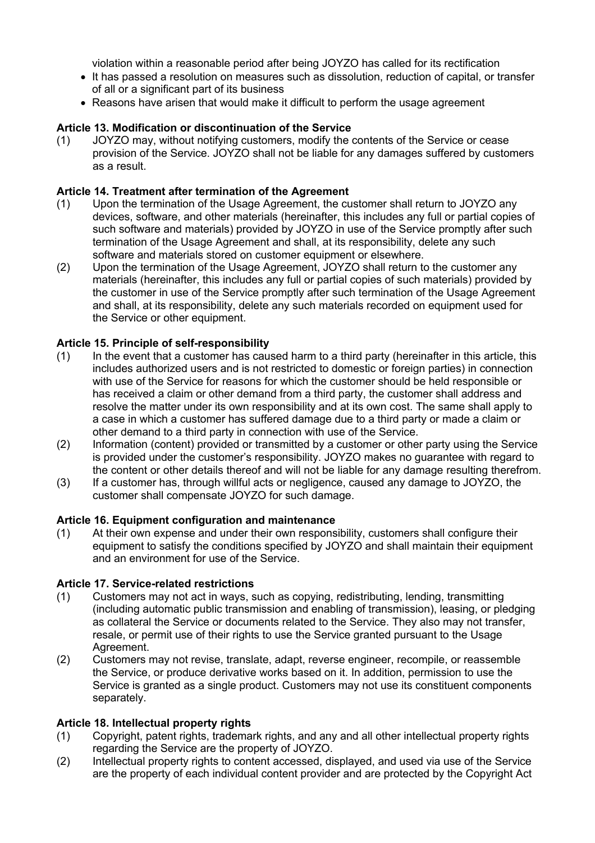violation within a reasonable period after being JOYZO has called for its rectification

- It has passed a resolution on measures such as dissolution, reduction of capital, or transfer of all or a significant part of its business
- Reasons have arisen that would make it difficult to perform the usage agreement

#### **Article 13. Modification or discontinuation of the Service**

(1) JOYZO may, without notifying customers, modify the contents of the Service or cease provision of the Service. JOYZO shall not be liable for any damages suffered by customers as a result.

#### **Article 14. Treatment after termination of the Agreement**

- (1) Upon the termination of the Usage Agreement, the customer shall return to JOYZO any devices, software, and other materials (hereinafter, this includes any full or partial copies of such software and materials) provided by JOYZO in use of the Service promptly after such termination of the Usage Agreement and shall, at its responsibility, delete any such software and materials stored on customer equipment or elsewhere.
- (2) Upon the termination of the Usage Agreement, JOYZO shall return to the customer any materials (hereinafter, this includes any full or partial copies of such materials) provided by the customer in use of the Service promptly after such termination of the Usage Agreement and shall, at its responsibility, delete any such materials recorded on equipment used for the Service or other equipment.

#### **Article 15. Principle of self-responsibility**

- (1) In the event that a customer has caused harm to a third party (hereinafter in this article, this includes authorized users and is not restricted to domestic or foreign parties) in connection with use of the Service for reasons for which the customer should be held responsible or has received a claim or other demand from a third party, the customer shall address and resolve the matter under its own responsibility and at its own cost. The same shall apply to a case in which a customer has suffered damage due to a third party or made a claim or other demand to a third party in connection with use of the Service.
- (2) Information (content) provided or transmitted by a customer or other party using the Service is provided under the customer's responsibility. JOYZO makes no guarantee with regard to the content or other details thereof and will not be liable for any damage resulting therefrom.
- (3) If a customer has, through willful acts or negligence, caused any damage to JOYZO, the customer shall compensate JOYZO for such damage.

#### **Article 16. Equipment configuration and maintenance**

(1) At their own expense and under their own responsibility, customers shall configure their equipment to satisfy the conditions specified by JOYZO and shall maintain their equipment and an environment for use of the Service.

#### **Article 17. Service-related restrictions**

- (1) Customers may not act in ways, such as copying, redistributing, lending, transmitting (including automatic public transmission and enabling of transmission), leasing, or pledging as collateral the Service or documents related to the Service. They also may not transfer, resale, or permit use of their rights to use the Service granted pursuant to the Usage Agreement.
- (2) Customers may not revise, translate, adapt, reverse engineer, recompile, or reassemble the Service, or produce derivative works based on it. In addition, permission to use the Service is granted as a single product. Customers may not use its constituent components separately.

#### **Article 18. Intellectual property rights**

- (1) Copyright, patent rights, trademark rights, and any and all other intellectual property rights regarding the Service are the property of JOYZO.
- (2) Intellectual property rights to content accessed, displayed, and used via use of the Service are the property of each individual content provider and are protected by the Copyright Act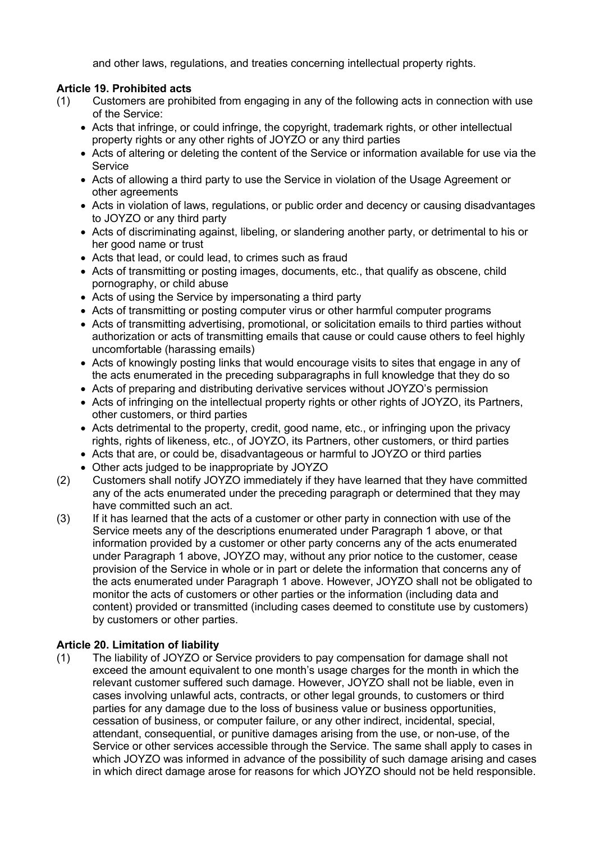and other laws, regulations, and treaties concerning intellectual property rights.

## **Article 19. Prohibited acts**

- (1) Customers are prohibited from engaging in any of the following acts in connection with use of the Service:
	- Acts that infringe, or could infringe, the copyright, trademark rights, or other intellectual property rights or any other rights of JOYZO or any third parties
	- Acts of altering or deleting the content of the Service or information available for use via the **Service**
	- Acts of allowing a third party to use the Service in violation of the Usage Agreement or other agreements
	- Acts in violation of laws, regulations, or public order and decency or causing disadvantages to JOYZO or any third party
	- Acts of discriminating against, libeling, or slandering another party, or detrimental to his or her good name or trust
	- Acts that lead, or could lead, to crimes such as fraud
	- Acts of transmitting or posting images, documents, etc., that qualify as obscene, child pornography, or child abuse
	- Acts of using the Service by impersonating a third party
	- Acts of transmitting or posting computer virus or other harmful computer programs
	- Acts of transmitting advertising, promotional, or solicitation emails to third parties without authorization or acts of transmitting emails that cause or could cause others to feel highly uncomfortable (harassing emails)
	- Acts of knowingly posting links that would encourage visits to sites that engage in any of the acts enumerated in the preceding subparagraphs in full knowledge that they do so
	- Acts of preparing and distributing derivative services without JOYZO's permission
	- Acts of infringing on the intellectual property rights or other rights of JOYZO, its Partners, other customers, or third parties
	- Acts detrimental to the property, credit, good name, etc., or infringing upon the privacy rights, rights of likeness, etc., of JOYZO, its Partners, other customers, or third parties
	- Acts that are, or could be, disadvantageous or harmful to JOYZO or third parties
	- Other acts judged to be inappropriate by JOYZO
- (2) Customers shall notify JOYZO immediately if they have learned that they have committed any of the acts enumerated under the preceding paragraph or determined that they may have committed such an act.
- (3) If it has learned that the acts of a customer or other party in connection with use of the Service meets any of the descriptions enumerated under Paragraph 1 above, or that information provided by a customer or other party concerns any of the acts enumerated under Paragraph 1 above, JOYZO may, without any prior notice to the customer, cease provision of the Service in whole or in part or delete the information that concerns any of the acts enumerated under Paragraph 1 above. However, JOYZO shall not be obligated to monitor the acts of customers or other parties or the information (including data and content) provided or transmitted (including cases deemed to constitute use by customers) by customers or other parties.

# **Article 20. Limitation of liability**

(1) The liability of JOYZO or Service providers to pay compensation for damage shall not exceed the amount equivalent to one month's usage charges for the month in which the relevant customer suffered such damage. However, JOYZO shall not be liable, even in cases involving unlawful acts, contracts, or other legal grounds, to customers or third parties for any damage due to the loss of business value or business opportunities, cessation of business, or computer failure, or any other indirect, incidental, special, attendant, consequential, or punitive damages arising from the use, or non-use, of the Service or other services accessible through the Service. The same shall apply to cases in which JOYZO was informed in advance of the possibility of such damage arising and cases in which direct damage arose for reasons for which JOYZO should not be held responsible.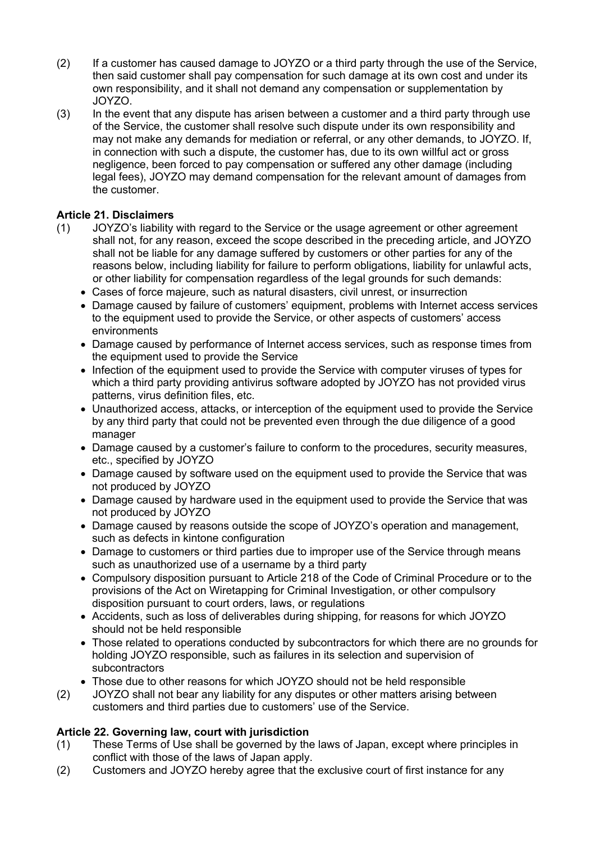- (2) If a customer has caused damage to JOYZO or a third party through the use of the Service, then said customer shall pay compensation for such damage at its own cost and under its own responsibility, and it shall not demand any compensation or supplementation by JOYZO.
- (3) In the event that any dispute has arisen between a customer and a third party through use of the Service, the customer shall resolve such dispute under its own responsibility and may not make any demands for mediation or referral, or any other demands, to JOYZO. If, in connection with such a dispute, the customer has, due to its own willful act or gross negligence, been forced to pay compensation or suffered any other damage (including legal fees), JOYZO may demand compensation for the relevant amount of damages from the customer.

# **Article 21. Disclaimers**

- (1) JOYZO's liability with regard to the Service or the usage agreement or other agreement shall not, for any reason, exceed the scope described in the preceding article, and JOYZO shall not be liable for any damage suffered by customers or other parties for any of the reasons below, including liability for failure to perform obligations, liability for unlawful acts, or other liability for compensation regardless of the legal grounds for such demands:
	- Cases of force majeure, such as natural disasters, civil unrest, or insurrection
	- Damage caused by failure of customers' equipment, problems with Internet access services to the equipment used to provide the Service, or other aspects of customers' access environments
	- Damage caused by performance of Internet access services, such as response times from the equipment used to provide the Service
	- Infection of the equipment used to provide the Service with computer viruses of types for which a third party providing antivirus software adopted by JOYZO has not provided virus patterns, virus definition files, etc.
	- Unauthorized access, attacks, or interception of the equipment used to provide the Service by any third party that could not be prevented even through the due diligence of a good manager
	- Damage caused by a customer's failure to conform to the procedures, security measures, etc., specified by JOYZO
	- Damage caused by software used on the equipment used to provide the Service that was not produced by JOYZO
	- Damage caused by hardware used in the equipment used to provide the Service that was not produced by JOYZO
	- Damage caused by reasons outside the scope of JOYZO's operation and management, such as defects in kintone configuration
	- Damage to customers or third parties due to improper use of the Service through means such as unauthorized use of a username by a third party
	- Compulsory disposition pursuant to Article 218 of the Code of Criminal Procedure or to the provisions of the Act on Wiretapping for Criminal Investigation, or other compulsory disposition pursuant to court orders, laws, or regulations
	- Accidents, such as loss of deliverables during shipping, for reasons for which JOYZO should not be held responsible
	- Those related to operations conducted by subcontractors for which there are no grounds for holding JOYZO responsible, such as failures in its selection and supervision of subcontractors
	- Those due to other reasons for which JOYZO should not be held responsible
- (2) JOYZO shall not bear any liability for any disputes or other matters arising between customers and third parties due to customers' use of the Service.

## **Article 22. Governing law, court with jurisdiction**

- (1) These Terms of Use shall be governed by the laws of Japan, except where principles in conflict with those of the laws of Japan apply.
- (2) Customers and JOYZO hereby agree that the exclusive court of first instance for any